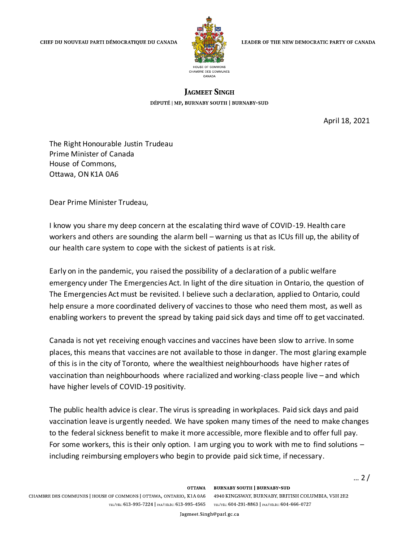

LEADER OF THE NEW DEMOCRATIC PARTY OF CANADA

## **LAGMEET SINGH**

DÉPUTÉ | MP, BURNABY SOUTH | BURNABY-SUD

April 18, 2021

 $... 2 /$ 

The Right Honourable Justin Trudeau Prime Minister of Canada House of Commons, Ottawa, ON K1A 0A6

Dear Prime Minister Trudeau,

I know you share my deep concern at the escalating third wave of COVID-19. Health care workers and others are sounding the alarm bell – warning us that as ICUs fill up, the ability of our health care system to cope with the sickest of patients is at risk.

Early on in the pandemic, you raised the possibility of a declaration of a public welfare emergency under The Emergencies Act. In light of the dire situation in Ontario, the question of The Emergencies Act must be revisited. I believe such a declaration, applied to Ontario, could help ensure a more coordinated delivery of vaccines to those who need them most, as well as enabling workers to prevent the spread by taking paid sick days and time off to get vaccinated.

Canada is not yet receiving enough vaccines and vaccines have been slow to arrive. In some places, this means that vaccines are not available to those in danger. The most glaring example of this is in the city of Toronto, where the wealthiest neighbourhoods have higher rates of vaccination than neighbourhoods where racialized and working-class people live – and which have higher levels of COVID-19 positivity.

The public health advice is clear. The virus is spreading in workplaces. Paid sick days and paid vaccination leave is urgently needed. We have spoken many times of the need to make changes to the federal sickness benefit to make it more accessible, more flexible and to offer full pay. For some workers, this is their only option. I am urging you to work with me to find solutions – including reimbursing employers who begin to provide paid sick time, if necessary.